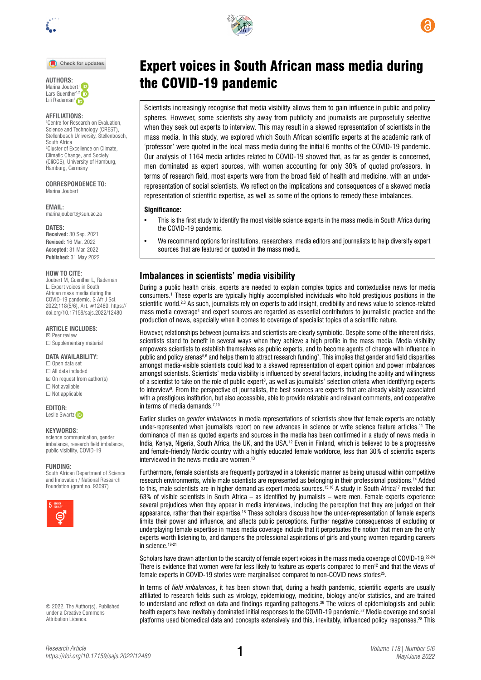

Check for updates



### **AFFILIATIONS:**

1 Centre for Research on Evaluation, Science and Technology (CREST), Stellenbosch University, Stellenbosch, South Africa 2 Cluster of Excellence on Climate, Climatic Change, and Society (CliCCS), University of Hamburg, Hamburg, Germany

**CORRESPONDENCE TO:**  Marina Joubert

**EMAIL:** 

[marinajoubert@sun.ac.za](mailto:marinajoubert@sun.ac.za)

#### **DATES:**

**Received:** 30 Sep. 2021 **Revised:** 16 Mar. 2022 **Accepted:** 31 Mar. 2022 **Published:** 31 May 2022

### **HOW TO CITE:**

Joubert M, Guenther L, Rademan L. Expert voices in South African mass media during the COVID-19 pandemic. S Afr J Sci. 2022;118(5/6), Art. #12480. [https://](https://doi.org/10.17159/sajs.2022/12480) [doi.org/10.17159/sajs.2022/12480](https://doi.org/10.17159/sajs.2022/12480)

#### **ARTICLE INCLUDES:** ☒ Peer review

□ Supplementary material

### **DATA AVAILABILITY:**

☐ Open data set ☐ All data included  $\boxtimes$  On request from author(s) ☐ Not available ☐ Not applicable

### **EDITOR:**  Leslie Swart[z](https://orcid.org/0000-0003-1741-5897) **D**

### **KEYWORDS:**

science communication, gender imbalance, research field imbalance, public visibility, COVID-19

#### **FUNDING:**

South African Department of Science and Innovation / National Research Foundation (grant no. 93097)



© 2022. The Author(s). Published under a [Creative Commons](https://creativecommons.org/licenses/by/4.0/)  [Attribution Licence.](https://creativecommons.org/licenses/by/4.0/)





# Expert voices in South African mass media during AUTHORS: **AUTHORS: COVID-19 pandemic**

Scientists increasingly recognise that media visibility allows them to gain influence in public and policy spheres. However, some scientists shy away from publicity and journalists are purposefully selective when they seek out experts to interview. This may result in a skewed representation of scientists in the mass media. In this study, we explored which South African scientific experts at the academic rank of 'professor' were quoted in the local mass media during the initial 6 months of the COVID-19 pandemic. Our analysis of 1164 media articles related to COVID-19 showed that, as far as gender is concerned, men dominated as expert sources, with women accounting for only 30% of quoted professors. In terms of research field, most experts were from the broad field of health and medicine, with an underrepresentation of social scientists. We reflect on the implications and consequences of a skewed media representation of scientific expertise, as well as some of the options to remedy these imbalances.

### **Significance:**

- This is the first study to identify the most visible science experts in the mass media in South Africa during the COVID-19 pandemic.
- We recommend options for institutions, researchers, media editors and journalists to help diversify expert sources that are featured or quoted in the mass media.

### **Imbalances in scientists' media visibility**

During a public health crisis, experts are needed to explain complex topics and contextualise news for media consumers.1 These experts are typically highly accomplished individuals who hold prestigious positions in the scientific world.<sup>2,3</sup> As such, journalists rely on experts to add insight, credibility and news value to science-related mass media coverage<sup>4</sup> and expert sources are regarded as essential contributors to journalistic practice and the production of news, especially when it comes to coverage of specialist topics of a scientific nature.

However, relationships between journalists and scientists are clearly symbiotic. Despite some of the inherent risks, scientists stand to benefit in several ways when they achieve a high profile in the mass media. Media visibility empowers scientists to establish themselves as public experts, and to become agents of change with influence in public and policy arenas5,6 and helps them to attract research funding<sup>7</sup>. This implies that gender and field disparities amongst media-visible scientists could lead to a skewed representation of expert opinion and power imbalances amongst scientists. Scientists' media visibility is influenced by several factors, including the ability and willingness of a scientist to take on the role of public expert<sup>s</sup>, as well as journalists' selection criteria when identifying experts to interview9 . From the perspective of journalists, the best sources are experts that are already visibly associated with a prestigious institution, but also accessible, able to provide relatable and relevant comments, and cooperative in terms of media demands.<sup>7,10</sup>

Earlier studies on *gender imbalances* in media representations of scientists show that female experts are notably under-represented when journalists report on new advances in science or write science feature articles.11 The dominance of men as quoted experts and sources in the media has been confirmed in a study of news media in India, Kenya, Nigeria, South Africa, the UK, and the USA.<sup>12</sup> Even in Finland, which is believed to be a progressive and female-friendly Nordic country with a highly educated female workforce, less than 30% of scientific experts interviewed in the news media are women.<sup>13</sup>

Furthermore, female scientists are frequently portrayed in a tokenistic manner as being unusual within competitive research environments, while male scientists are represented as belonging in their professional positions.14 Added to this, male scientists are in higher demand as expert media sources.<sup>15,16</sup> A study in South Africa<sup>17</sup> revealed that 63% of visible scientists in South Africa – as identified by journalists – were men. Female experts experience several prejudices when they appear in media interviews, including the perception that they are judged on their appearance, rather than their expertise.<sup>18</sup> These scholars discuss how the under-representation of female experts limits their power and influence, and affects public perceptions. Further negative consequences of excluding or underplaying female expertise in mass media coverage include that it perpetuates the notion that men are the only experts worth listening to, and dampens the professional aspirations of girls and young women regarding careers in science. 19-21

Scholars have drawn attention to the scarcity of female expert voices in the mass media coverage of COVID-19.<sup>22-24</sup> There is evidence that women were far less likely to feature as experts compared to men<sup>12</sup> and that the views of female experts in COVID-19 stories were marginalised compared to non-COVID news stories25.

In terms of *field imbalances*, it has been shown that, during a health pandemic, scientific experts are usually affiliated to research fields such as virology, epidemiology, medicine, biology and/or statistics, and are trained to understand and reflect on data and findings regarding pathogens.26 The voices of epidemiologists and public health experts have inevitably dominated initial responses to the COVID-19 pandemic.27 Media coverage and social platforms used biomedical data and concepts extensively and this, inevitably, influenced policy responses.28 This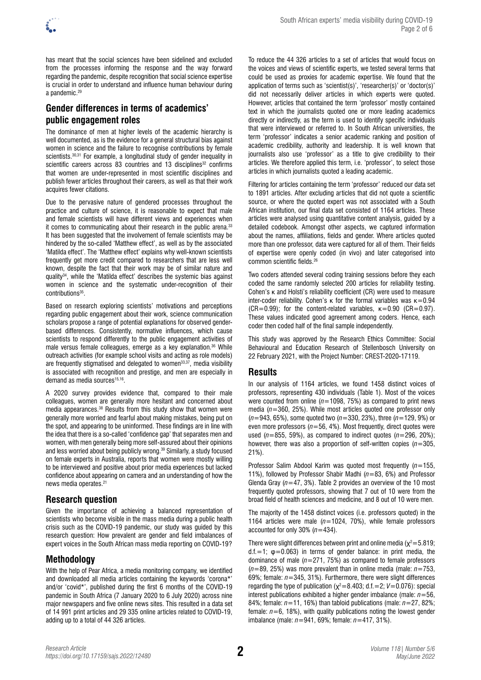

has meant that the social sciences have been sidelined and excluded from the processes informing the response and the way forward regarding the pandemic, despite recognition that social science expertise is crucial in order to understand and influence human behaviour during a pandemic.29

# **Gender differences in terms of academics' public engagement roles**

The dominance of men at higher levels of the academic hierarchy is well documented, as is the evidence for a general structural bias against women in science and the failure to recognise contributions by female scientists.<sup>30,31</sup> For example, a longitudinal study of gender inequality in scientific careers across 83 countries and 13 disciplines<sup>32</sup> confirms that women are under-represented in most scientific disciplines and publish fewer articles throughout their careers, as well as that their work acquires fewer citations.

Due to the pervasive nature of gendered processes throughout the practice and culture of science, it is reasonable to expect that male and female scientists will have different views and experiences when it comes to communicating about their research in the public arena.33 It has been suggested that the involvement of female scientists may be hindered by the so-called 'Matthew effect', as well as by the associated 'Matilda effect'. The 'Matthew effect' explains why well-known scientists frequently get more credit compared to researchers that are less well known, despite the fact that their work may be of similar nature and quality<sup>34</sup>, while the 'Matilda effect' describes the systemic bias against women in science and the systematic under-recognition of their contributions<sup>35</sup>.

Based on research exploring scientists' motivations and perceptions regarding public engagement about their work, science communication scholars propose a range of potential explanations for observed genderbased differences. Consistently, normative influences, which cause scientists to respond differently to the public engagement activities of male versus female colleagues, emerge as a key explanation.36 While outreach activities (for example school visits and acting as role models) are frequently stigmatised and delegated to women<sup>33,37</sup>, media visibility is associated with recognition and prestige, and men are especially in demand as media sources<sup>15,16</sup>.

A 2020 survey provides evidence that, compared to their male colleagues, women are generally more hesitant and concerned about media appearances.38 Results from this study show that women were generally more worried and fearful about making mistakes, being put on the spot, and appearing to be uninformed. These findings are in line with the idea that there is a so-called 'confidence gap' that separates men and women, with men generally being more self-assured about their opinions and less worried about being publicly wrong.39 Similarly, a study focused on female experts in Australia, reports that women were mostly willing to be interviewed and positive about prior media experiences but lacked confidence about appearing on camera and an understanding of how the news media operates.21

# **Research question**

Given the importance of achieving a balanced representation of scientists who become visible in the mass media during a public health crisis such as the COVID-19 pandemic, our study was guided by this research question: How prevalent are gender and field imbalances of expert voices in the South African mass media reporting on COVID-19?

# **Methodology**

With the help of Pear Africa, a media monitoring company, we identified and downloaded all media articles containing the keywords 'corona\*' and/or 'covid\*', published during the first 6 months of the COVID-19 pandemic in South Africa (7 January 2020 to 6 July 2020) across nine major newspapers and five online news sites. This resulted in a data set of 14 991 print articles and 29 335 online articles related to COVID-19, adding up to a total of 44 326 articles.

To reduce the 44 326 articles to a set of articles that would focus on the voices and views of scientific experts, we tested several terms that could be used as proxies for academic expertise. We found that the application of terms such as 'scientist(s)', 'researcher(s)' or 'doctor(s)' did not necessarily deliver articles in which experts were quoted. However, articles that contained the term 'professor' mostly contained text in which the journalists quoted one or more leading academics directly or indirectly, as the term is used to identify specific individuals that were interviewed or referred to. In South African universities, the term 'professor' indicates a senior academic ranking and position of academic credibility, authority and leadership. It is well known that journalists also use 'professor' as a title to give credibility to their articles. We therefore applied this term, i.e. 'professor', to select those articles in which journalists quoted a leading academic.

Filtering for articles containing the term 'professor' reduced our data set to 1891 articles. After excluding articles that did not quote a scientific source, or where the quoted expert was not associated with a South African institution, our final data set consisted of 1164 articles. These articles were analysed using quantitative content analysis, guided by a detailed codebook. Amongst other aspects, we captured information about the names, affiliations, fields and gender. Where articles quoted more than one professor, data were captured for all of them. Their fields of expertise were openly coded (in vivo) and later categorised into common scientific fields.<sup>26</sup>

Two coders attended several coding training sessions before they each coded the same randomly selected 200 articles for reliability testing. Cohen's κ and Holsti's reliability coefficient (CR) were used to measure inter-coder reliability. Cohen's κ for the formal variables was  $κ=0.94$  $(CR=0.99)$ ; for the content-related variables,  $\kappa=0.90$   $(CR=0.97)$ . These values indicated good agreement among coders. Hence, each coder then coded half of the final sample independently.

This study was approved by the Research Ethics Committee: Social Behavioural and Education Research of Stellenbosch University on 22 February 2021, with the Project Number: CREST-2020-17119.

# **Results**

In our analysis of 1164 articles, we found 1458 distinct voices of professors, representing 430 individuals (Table 1). Most of the voices were counted from online (*n*=1098, 75%) as compared to print news media (*n*=360, 25%). While most articles quoted one professor only (*n*=943, 65%), some quoted two (*n*=330, 23%), three (*n*=129, 9%) or even more professors (*n*=56, 4%). Most frequently, direct quotes were used  $(n=855, 59%)$ , as compared to indirect quotes  $(n=296, 20%)$ ; however, there was also a proportion of self-written copies (*n*=305, 21%).

Professor Salim Abdool Karim was quoted most frequently (*n*=155, 11%), followed by Professor Shabir Madhi (*n*=83, 6%) and Professor Glenda Gray (*n*=47, 3%). Table 2 provides an overview of the 10 most frequently quoted professors, showing that 7 out of 10 were from the broad field of health sciences and medicine, and 8 out of 10 were men.

The majority of the 1458 distinct voices (i.e. professors quoted) in the 1164 articles were male (*n*=1024, 70%), while female professors accounted for only 30% (*n*=434).

There were slight differences between print and online media ( $\chi^2$ =5.819; d.f.=1;  $\varphi$ =0.063) in terms of gender balance: in print media, the dominance of male (*n*=271, 75%) as compared to female professors (*n*=89, 25%) was more prevalent than in online media (male: *n*=753, 69%; female: *n*=345, 31%). Furthermore, there were slight differences regarding the type of publication ( $\chi^2$ =8.403; d.f. = 2;  $V$ =0.076): special interest publications exhibited a higher gender imbalance (male: *n*=56, 84%; female: *n*=11, 16%) than tabloid publications (male: *n*=27, 82%; female:  $n=6$ , 18%), with quality publications noting the lowest gender imbalance (male: *n*=941, 69%; female: *n*=417, 31%).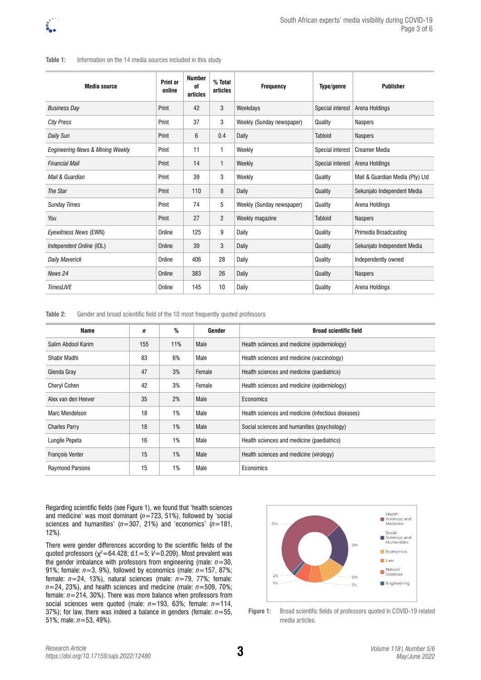### Table 1: Information on the 14 media sources included in this study

| <b>Media source</b>                         | Print or<br>online | <b>Number</b><br>of<br>articles | % Total<br>articles | Frequency                 | Type/genre              | <b>Publisher</b>                |
|---------------------------------------------|--------------------|---------------------------------|---------------------|---------------------------|-------------------------|---------------------------------|
| <b>Business Day</b>                         | Print              | 42                              | 3                   | Weekdays                  | Special interest        | Arena Holdings                  |
| <b>City Press</b>                           | Print              | 37                              | 3                   | Weekly (Sunday newspaper) | Quality                 | <b>Naspers</b>                  |
| Daily Sun                                   | Print              | 6                               | 0.4                 | Daily                     | <b>Tabloid</b>          | <b>Naspers</b>                  |
| <b>Engineering News &amp; Mining Weekly</b> | Print              | 11                              | 1                   | Weekly                    | Special interest        | <b>Creamer Media</b>            |
| <b>Financial Mail</b>                       | Print              | 14                              | 1                   | Weekly                    | <b>Special interest</b> | Arena Holdings                  |
| Mail & Guardian                             | Print              | 39                              | 3                   | Weekly                    | Quality                 | Mail & Guardian Media (Pty) Ltd |
| The Star                                    | Print              | 110                             | 8                   | Daily                     | Quality                 | Sekunjalo Independent Media     |
| <b>Sunday Times</b>                         | Print              | 74                              | 5                   | Weekly (Sunday newspaper) | Quality                 | Arena Holdings                  |
| You                                         | Print              | 27                              | $\overline{2}$      | Weekly magazine           | <b>Tabloid</b>          | <b>Naspers</b>                  |
| Eyewitness News (EWN)                       | Online             | 125                             | 9                   | Daily                     | Quality                 | Primedia Broadcasting           |
| Independent Online (IOL)                    | Online             | 39                              | 3                   | Daily                     | Quality                 | Sekunjalo Independent Media     |
| <b>Daily Maverick</b>                       | Online             | 406                             | 28                  | Daily                     | Quality                 | Independently owned             |
| News 24                                     | Online             | 383                             | 26                  | Daily                     | Quality                 | <b>Naspers</b>                  |
| <b>TimesLIVE</b>                            | Online             | 145                             | 10                  | Daily                     | Quality                 | Arena Holdings                  |

**Table 2:** Gender and broad scientific field of the 10 most frequently quoted professors

| Name                   | n   | %   | Gender | <b>Broad scientific field</b>                      |
|------------------------|-----|-----|--------|----------------------------------------------------|
| Salim Abdool Karim     | 155 | 11% | Male   | Health sciences and medicine (epidemiology)        |
| Shabir Madhi           | 83  | 6%  | Male   | Health sciences and medicine (vaccinology)         |
| Glenda Gray            | 47  | 3%  | Female | Health sciences and medicine (paediatrics)         |
| <b>Cheryl Cohen</b>    | 42  | 3%  | Female | Health sciences and medicine (epidemiology)        |
| Alex van den Heever    | 35  | 2%  | Male   | Economics                                          |
| Marc Mendelson         | 18  | 1%  | Male   | Health sciences and medicine (infectious diseases) |
| <b>Charles Parry</b>   | 18  | 1%  | Male   | Social sciences and humanities (psychology)        |
| Lungile Pepeta         | 16  | 1%  | Male   | Health sciences and medicine (paediatrics)         |
| <b>François Venter</b> | 15  | 1%  | Male   | Health sciences and medicine (virology)            |
| <b>Raymond Parsons</b> | 15  | 1%  | Male   | Economics                                          |

Regarding scientific fields (see Figure 1), we found that 'health sciences and medicine' was most dominant (*n*=723, 51%), followed by 'social sciences and humanities' (*n*=307, 21%) and 'economics' (*n*=181, 12%).

There were gender differences according to the scientific fields of the quoted professors (χ<sup>2</sup>=64.428; d.f.=5; V=0.209). Most prevalent was the gender imbalance with professors from engineering (male:  $n=30$ , 91%; female: *n*=3, 9%), followed by economics (male: *n*=157, 87%; female: *n*=24, 13%), natural sciences (male: *n*=79, 77%; female:  $n=24$ , 23%), and health sciences and medicine (male:  $n=509$ , 70%; female: *n*=214, 30%). There was more balance when professors from social sciences were quoted (male: *n*=193, 63%; female: *n*=114, 37%); for law, there was indeed a balance in genders (female: *n*=55, 51%; male: *n*=53, 49%).



**Figure 1:** Broad scientific fields of professors quoted in COVID-19 related media articles.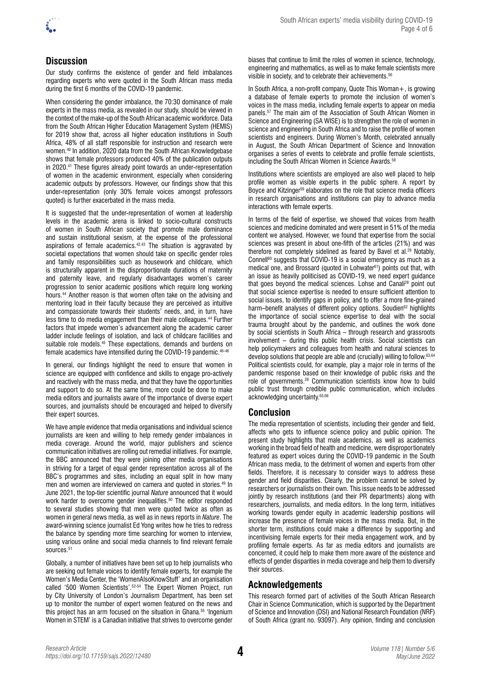

# **Discussion**

Our study confirms the existence of gender and field imbalances regarding experts who were quoted in the South African mass media during the first 6 months of the COVID-19 pandemic.

When considering the gender imbalance, the 70:30 dominance of male experts in the mass media, as revealed in our study, should be viewed in the context of the make-up of the South African academic workforce. Data from the South African Higher Education Management System (HEMIS) for 2019 show that, across all higher education institutions in South Africa, 48% of all staff responsible for instruction and research were women.40 In addition, 2020 data from the South African Knowledgebase shows that female professors produced 40% of the publication outputs in 2020.41 These figures already point towards an under-representation of women in the academic environment, especially when considering academic outputs by professors. However, our findings show that this under-representation (only 30% female voices amongst professors quoted) is further exacerbated in the mass media.

It is suggested that the under-representation of women at leadership levels in the academic arena is linked to socio-cultural constructs of women in South African society that promote male dominance and sustain institutional sexism, at the expense of the professional aspirations of female academics. $42,43$  The situation is aggravated by societal expectations that women should take on specific gender roles and family responsibilities such as housework and childcare, which is structurally apparent in the disproportionate durations of maternity and paternity leave, and regularly disadvantages women's career progression to senior academic positions which require long working hours.44 Another reason is that women often take on the advising and mentoring load in their faculty because they are perceived as intuitive and compassionate towards their students' needs, and, in turn, have less time to do media engagement than their male colleagues.44 Further factors that impede women's advancement along the academic career ladder include feelings of isolation, and lack of childcare facilities and suitable role models.<sup>45</sup> These expectations, demands and burdens on female academics have intensified during the COVID-19 pandemic.46-48

In general, our findings highlight the need to ensure that women in science are equipped with confidence and skills to engage pro-actively and reactively with the mass media, and that they have the opportunities and support to do so. At the same time, more could be done to make media editors and journalists aware of the importance of diverse expert sources, and journalists should be encouraged and helped to diversify their expert sources.

We have ample evidence that media organisations and individual science journalists are keen and willing to help remedy gender imbalances in media coverage. Around the world, major publishers and science communication initiatives are rolling out remedial initiatives. For example, the BBC announced that they were joining other media organisations in striving for a target of equal gender representation across all of the BBC's programmes and sites, including an equal split in how many men and women are interviewed on camera and quoted in stories.<sup>49</sup> In June 2021, the top-tier scientific journal *Nature* announced that it would work harder to overcome gender inequalities.<sup>50</sup> The editor responded to several studies showing that men were quoted twice as often as women in general news media, as well as in news reports in *Nature*. The award-winning science journalist Ed Yong writes how he tries to redress the balance by spending more time searching for women to interview, using various online and social media channels to find relevant female sources.<sup>51</sup>

Globally, a number of initiatives have been set up to help journalists who are seeking out female voices to identify female experts, for example the Women's Media Center, the 'WomenAlsoKnowStuff' and an organisation called '500 Women Scientists'.52-54 The Expert Women Project, run by City University of London's Journalism Department, has been set up to monitor the number of expert women featured on the news and this project has an arm focused on the situation in Ghana.55 'Ingenium Women in STEM' is a Canadian initiative that strives to overcome gender

biases that continue to limit the roles of women in science, technology, engineering and mathematics, as well as to make female scientists more visible in society, and to celebrate their achievements.<sup>56</sup>

In South Africa, a non-profit company, Quote This Woman+, is growing a database of female experts to promote the inclusion of women's voices in the mass media, including female experts to appear on media panels.57 The main aim of the Association of South African Women in Science and Engineering (SA WISE) is to strengthen the role of women in science and engineering in South Africa and to raise the profile of women scientists and engineers. During Women's Month, celebrated annually in August, the South African Department of Science and Innovation organises a series of events to celebrate and profile female scientists, including the South African Women in Science Awards.<sup>58</sup>

Institutions where scientists are employed are also well placed to help profile women as visible experts in the public sphere. A report by Boyce and Kitzinger<sup>59</sup> elaborates on the role that science media officers in research organisations and institutions can play to advance media interactions with female experts.

In terms of the field of expertise, we showed that voices from health sciences and medicine dominated and were present in 51% of the media content we analysed. However, we found that expertise from the social sciences was present in about one-fifth of the articles (21%) and was therefore not completely sidelined as feared by Bavel et al.<sup>29</sup> Notably, Connell<sup>60</sup> suggests that COVID-19 is a social emergency as much as a medical one, and Brossard (quoted in Lohwater $61$ ) points out that, with an issue as heavily politicised as COVID-19, we need expert guidance that goes beyond the medical sciences. Lohse and Canali28 point out that social science expertise is needed to ensure sufficient attention to social issues, to identify gaps in policy, and to offer a more fine-grained harm–benefit analyses of different policy options. Soudien<sup>62</sup> highlights the importance of social science expertise to deal with the social trauma brought about by the pandemic, and outlines the work done by social scientists in South Africa – through research and grassroots involvement – during this public health crisis. Social scientists can help policymakers and colleagues from health and natural sciences to develop solutions that people are able and (crucially) willing to follow.<sup>63,64</sup> Political scientists could, for example, play a major role in terms of the pandemic response based on their knowledge of public risks and the role of governments.28 Communication scientists know how to build public trust through credible public communication, which includes acknowledging uncertainty.65,66

# **Conclusion**

The media representation of scientists, including their gender and field, affects who gets to influence science policy and public opinion. The present study highlights that male academics, as well as academics working in the broad field of health and medicine, were disproportionately featured as expert voices during the COVID-19 pandemic in the South African mass media, to the detriment of women and experts from other fields. Therefore, it is necessary to consider ways to address these gender and field disparities. Clearly, the problem cannot be solved by researchers or journalists on their own. This issue needs to be addressed jointly by research institutions (and their PR departments) along with researchers, journalists, and media editors. In the long term, initiatives working towards gender equity in academic leadership positions will increase the presence of female voices in the mass media. But, in the shorter term, institutions could make a difference by supporting and incentivising female experts for their media engagement work, and by profiling female experts. As far as media editors and journalists are concerned, it could help to make them more aware of the existence and effects of gender disparities in media coverage and help them to diversify their sources.

# **Acknowledgements**

This research formed part of activities of the South African Research Chair in Science Communication, which is supported by the Department of Science and Innovation (DSI) and National Research Foundation (NRF) of South Africa (grant no. 93097). Any opinion, finding and conclusion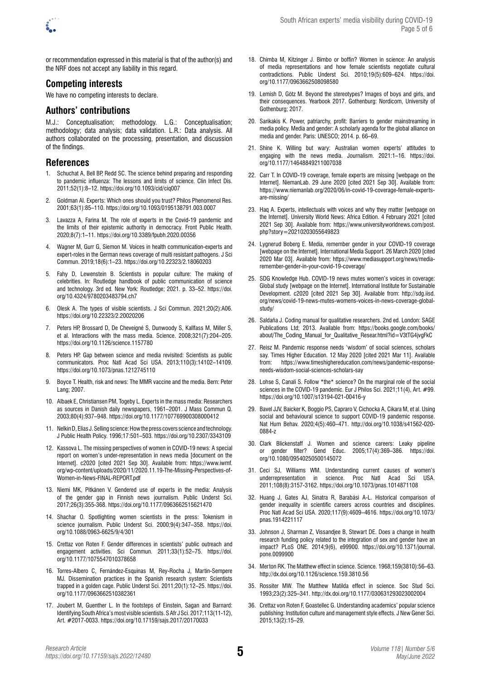

or recommendation expressed in this material is that of the author(s) and the NRF does not accept any liability in this regard.

### **Competing interests**

We have no competing interests to declare.

### **Authors' contributions**

M.J.: Conceptualisation; methodology. L.G.: Conceptualisation; methodology; data analysis; data validation. L.R.: Data analysis. All authors collaborated on the processing, presentation, and discussion of the findings.

## **References**

- 1. Schuchat A, Bell BP, Redd SC. The science behind preparing and responding to pandemic influenza: The lessons and limits of science. Clin Infect Dis. 2011;52(1):8–12.<https://doi.org/10.1093/cid/ciq007>
- 2. Goldman AI. Experts: Which ones should you trust? Philos Phenomenol Res. 2001;63(1):85–110. <https://doi.org/10.1093/0195138791.003.0007>
- 3. Lavazza A, Farina M. The role of experts in the Covid-19 pandemic and the limits of their epistemic authority in democracy. Front Public Health. 2020;8(7):1–11.<https://doi.org/10.3389/fpubh.2020.00356>
- 4. Wagner M, Gurr G, Siemon M. Voices in health communication-experts and expert-roles in the German news coverage of multi resistant pathogens. J Sci Commun. 2019;18(6):1–23. <https://doi.org/10.22323/2.18060203>
- 5. Fahy D, Lewenstein B. Scientists in popular culture: The making of celebrities. In: Routledge handbook of public communication of science and technology. 3rd ed. New York: Routledge; 2021. p. 33–52. [https://doi.](https://doi.org/10.4324/9780203483794.ch7) [org/10.4324/9780203483794.ch7](https://doi.org/10.4324/9780203483794.ch7)
- 6. Olesk A. The types of visible scientists. J Sci Commun. 2021;20(2):A06. <https://doi.org/10.22323/2.20020206>
- 7. Peters HP, Brossard D, De Cheveigné S, Dunwoody S, Kallfass M, Miller S, et al. Interactions with the mass media. Science. 2008;321(7):204–205. <https://doi.org/10.1126/science.1157780>
- 8. Peters HP. Gap between science and media revisited: Scientists as public communicators. Proc Natl Acad Sci USA. 2013;110(3):14102–14109. <https://doi.org/10.1073/pnas.1212745110>
- 9. Boyce T. Health, risk and news: The MMR vaccine and the media. Bern: Peter Lang; 2007.
- 10. Albaek E, Christiansen PM, Togeby L. Experts in the mass media: Researchers as sources in Danish daily newspapers, 1961–2001. J Mass Commun Q. 2003;80(4):937–948.<https://doi.org/10.1177/107769900308000412>
- 11. Nelkin D, Elias J. Selling science: How the press covers science and technology. J Public Health Policy. 1996;17:501–503.<https://doi.org/10.2307/3343109>
- 12. Kassova L. The missing perspectives of women in COVID-19 news: A special report on women's under-representation in news media [document on the Internet]. c2020 [cited 2021 Sep 30]. Available from: [https://www.iwmf.](https://www.iwmf.org/wp-content/uploads/2020/11/2020.11.19-The-Missing-Perspectives-of-Women-in-News-FINAL-REPORT.pdf) [org/wp-content/uploads/2020/11/2020.11.19-The-Missing-Perspectives-of-](https://www.iwmf.org/wp-content/uploads/2020/11/2020.11.19-The-Missing-Perspectives-of-Women-in-News-FINAL-REPORT.pdf)[Women-in-News-FINAL-REPORT.pdf](https://www.iwmf.org/wp-content/uploads/2020/11/2020.11.19-The-Missing-Perspectives-of-Women-in-News-FINAL-REPORT.pdf)
- 13. Niemi MK, Pitkänen V. Gendered use of experts in the media: Analysis of the gender gap in Finnish news journalism. Public Underst Sci. 2017;26(3):355-368.<https://doi.org/10.1177/0963662515621470>
- 14. Shachar O. Spotlighting women scientists in the press: Tokenism in science journalism. Public Underst Sci. 2000;9(4):347–358. [https://doi.](https://doi.org/10.1088/0963-6625/9/4/301) [org/10.1088/0963-6625/9/4/301](https://doi.org/10.1088/0963-6625/9/4/301)
- 15. Crettaz von Roten F. Gender differences in scientists' public outreach and engagement activities. Sci Commun. 2011;33(1):52–75. [https://doi.](https://doi.org/10.1177/1075547010378658) [org/10.1177/1075547010378658](https://doi.org/10.1177/1075547010378658)
- 16. Torres-Albero C, Fernández-Esquinas M, Rey-Rocha J, Martín-Sempere MJ. Dissemination practices in the Spanish research system: Scientists trapped in a golden cage. Public Underst Sci. 2011;20(1):12–25. [https://doi.](https://doi.org/10.1177/0963662510382361) [org/10.1177/0963662510382361](https://doi.org/10.1177/0963662510382361)
- 17. Joubert M, Guenther L. In the footsteps of Einstein, Sagan and Barnard: Identifying South Africa's most visible scientists. S Afr J Sci. 2017;113(11-12), Art. #2017-0033.<https://doi.org/10.17159/sajs.2017/20170033>
- 18. Chimba M, Kitzinger J. Bimbo or boffin? Women in science: An analysis of media representations and how female scientists negotiate cultural contradictions. Public Underst Sci. 2010;19(5):609–624. [https://doi.](https://doi.org/10.1177/0963662508098580) [org/10.1177/0963662508098580](https://doi.org/10.1177/0963662508098580)
- 19. Lemish D, Götz M. Beyond the stereotypes? Images of boys and girls, and their consequences. Yearbook 2017. Gothenburg: Nordicom, University of Gothenburg; 2017.
- 20. Sarikakis K. Power, patriarchy, profit: Barriers to gender mainstreaming in media policy. Media and gender: A scholarly agenda for the global alliance on media and gender. Paris: UNESCO; 2014. p. 66–69.
- 21. Shine K. Willing but wary: Australian women experts' attitudes to engaging with the news media. Journalism. 2021:1–16. [https://doi.](https://doi.org/10.1177/14648849211007038) [org/10.1177/14648849211007038](https://doi.org/10.1177/14648849211007038)
- 22. Carr T. In COVID-19 coverage, female experts are missing [webpage on the Internet]. NiemanLab. 29 June 2020 [cited 2021 Sep 30]. Available from: [https://www.niemanlab.org/2020/06/in-covid-19-coverage-female-experts](https://www.niemanlab.org/2020/06/in-covid-19-coverage-female-experts-are-missing/)[are-missing/](https://www.niemanlab.org/2020/06/in-covid-19-coverage-female-experts-are-missing/)
- 23. Haq A. Experts, intellectuals with voices and why they matter [webpage on the Internet]. University World News: Africa Edition. 4 February 2021 [cited 2021 Sep 30]. Available from: [https://www.universityworldnews.com/post.](https://www.universityworldnews.com/post.php?story=20210203055649823) [php?story=20210203055649823](https://www.universityworldnews.com/post.php?story=20210203055649823)
- 24. Lygnerud Boberg E. Media, remember gender in your COVID-19 coverage [webpage on the Internet]. International Media Support. 26 March 2020 [cited 2020 Mar 03]. Available from: [https://www.mediasupport.org/news/media](https://www.mediasupport.org/news/media-remember-gender-in-your-covid-19-coverage/)[remember-gender-in-your-covid-19-coverage/](https://www.mediasupport.org/news/media-remember-gender-in-your-covid-19-coverage/)
- 25. SDG Knowledge Hub. COVID-19 news mutes women's voices in coverage: Global study [webpage on the Internet]. International Institute for Sustainable Development. c2020 [cited 2021 Sep 30]. Available from: [http://sdg.iisd.](http://sdg.iisd.org/news/covid-19-news-mutes-womens-voices-in-news-coverage-global-study/) [org/news/covid-19-news-mutes-womens-voices-in-news-coverage-global](http://sdg.iisd.org/news/covid-19-news-mutes-womens-voices-in-news-coverage-global-study/)[study/](http://sdg.iisd.org/news/covid-19-news-mutes-womens-voices-in-news-coverage-global-study/)
- 26. Saldaña J. Coding manual for qualitative researchers. 2nd ed. London: SAGE Publications Ltd; 2013. Available from: [https://books.google.com/books/](https://books.google.com/books/about/The_Coding_Manual_for_Qualitative_Resear.html?id=V3tTG4jvgFkC) about/The Coding Manual for Qualitative Resear.html?id=V3tTG4jvgFkC
- 27. Reisz M. Pandemic response needs 'wisdom' of social sciences, scholars say. Times Higher Education. 12 May 2020 [cited 2021 Mar 11]. Available from: [https://www.timeshighereducation.com/news/pandemic-response](https://www.timeshighereducation.com/news/pandemic-response-needs-wisdom-social-sciences-scholars-say)[needs-wisdom-social-sciences-scholars-say](https://www.timeshighereducation.com/news/pandemic-response-needs-wisdom-social-sciences-scholars-say)
- 28. Lohse S, Canali S. Follow \*the\* science? On the marginal role of the social sciences in the COVID-19 pandemic. Eur J Philos Sci. 2021;11(4), Art. #99. <https://doi.org/10.1007/s13194-021-00416-y>
- 29. Bavel JJV, Baicker K, Boggio PS, Capraro V, Cichocka A, Cikara M, et al. Using social and behavioural science to support COVID-19 pandemic response. Nat Hum Behav. 2020;4(5):460–471. [http://doi.org/10.1038/s41562-020-](http://doi.org/10.1038/s41562-020-0884-z) [0884-z](http://doi.org/10.1038/s41562-020-0884-z)
- 30. Clark Blickenstaff J. Women and science careers: Leaky pipeline or gender filter? Gend Educ. 2005;17(4):369–386. [https://doi.](https://doi.org/10.1080/09540250500145072) [org/10.1080/09540250500145072](https://doi.org/10.1080/09540250500145072)
- 31. Ceci SJ, Williams WM. Understanding current causes of women's underrepresentation in science. Proc Natl Acad Sci USA. 2011;108(8):3157-3162.<https://doi.org/10.1073/pnas.1014871108>
- 32. Huang J, Gates AJ, Sinatra R, Barabási A-L. Historical comparison of gender inequality in scientific careers across countries and disciplines. Proc Natl Acad Sci USA. 2020;117(9):4609–4616. [https://doi.org/10.1073/](https://doi.org/10.1073/pnas.1914221117) [pnas.1914221117](https://doi.org/10.1073/pnas.1914221117)
- 33. Johnson J, Sharman Z, Vissandjee B, Stewart DE. Does a change in health research funding policy related to the integration of sex and gender have an impact? PLoS ONE. 2014;9(6), e99900. [https://doi.org/10.1371/journal.](https://doi.org/10.1371/journal.pone.0099900) [pone.0099900](https://doi.org/10.1371/journal.pone.0099900)
- 34. Merton RK. The Matthew effect in science. Science. 1968;159(3810):56–63. <http://dx.doi.org/10.1126/science.159.3810.56>
- 35. Rossiter MW. The Matthew Matilda effect in science. Soc Stud Sci. 1993;23(2):325–341.<http://dx.doi.org/10.1177/030631293023002004>
- 36. Crettaz von Roten F, Goastellec G. Understanding academics' popular science publishing: Institution culture and management style effects. J New Gener Sci. 2015;13(2):15–29.